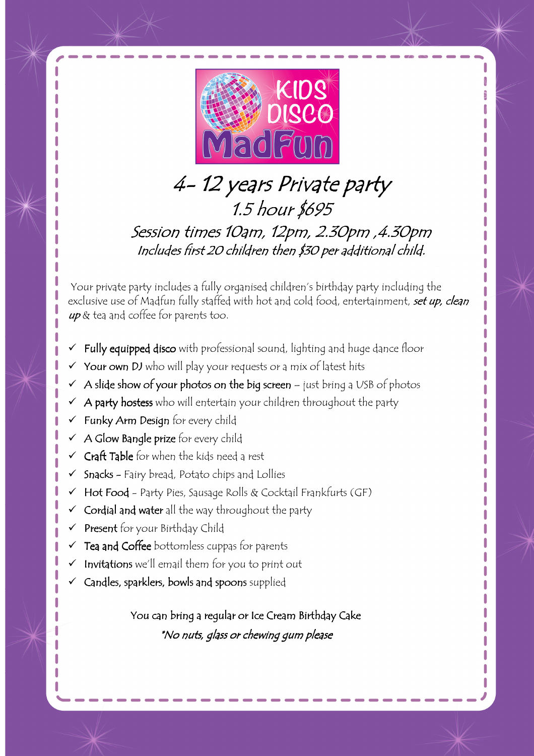

# 4-12 years Private party 1.5 hour \$695 Session times 10am, 12pm, 2.30pm, 4.30pm Includes first 20 children then \$30 per additional child.

 Your private party includes a fully organised children's birthday party including the exclusive use of Madfun fully staffed with hot and cold food, entertainment, set up, clean up & tea and coffee for parents too.

- Fully equipped disco with professional sound, lighting and huge dance floor
- Your own DJ who will play your requests or a mix of latest hits
- A slide show of your photos on the big screen just bring a USB of photos
- A party hostess who will entertain your children throughout the party
- Funky Arm Design for every child
- $\checkmark$  A Glow Bangle prize for every child
- Craft Table for when the kids need a rest
- Snacks Fairy bread, Potato chips and Lollies
- Hot Food Party Pies, Sausage Rolls & Cocktail Frankfurts (GF)
- Cordial and water all the way throughout the party
- Present for your Birthday Child
- $\checkmark$  Tea and Coffee bottomless cuppas for parents
- Invitations we'll email them for you to print out
- Candles, sparklers, bowls and spoons supplied

You can bring a regular or Ice Cream Birthday Cake \*No nuts, glass or chewing gum please